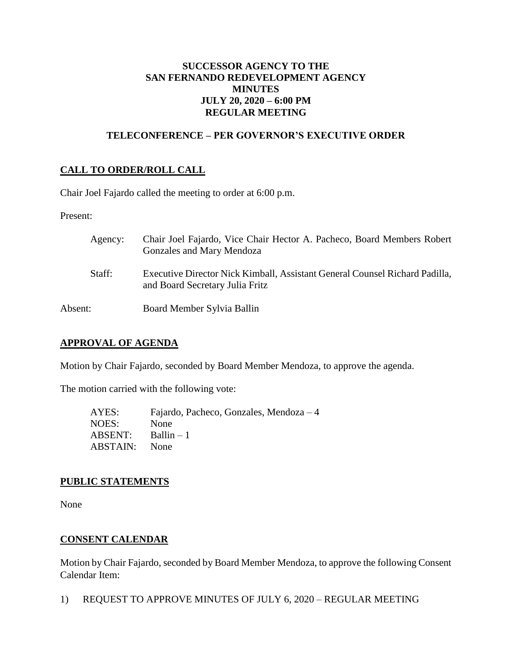# **SUCCESSOR AGENCY TO THE SAN FERNANDO REDEVELOPMENT AGENCY MINUTES JULY 20, 2020 – 6:00 PM REGULAR MEETING**

## **TELECONFERENCE – PER GOVERNOR'S EXECUTIVE ORDER**

# **CALL TO ORDER/ROLL CALL**

Chair Joel Fajardo called the meeting to order at 6:00 p.m.

Present:

| Agency: | Chair Joel Fajardo, Vice Chair Hector A. Pacheco, Board Members Robert<br>Gonzales and Mary Mendoza            |
|---------|----------------------------------------------------------------------------------------------------------------|
| Staff:  | Executive Director Nick Kimball, Assistant General Counsel Richard Padilla,<br>and Board Secretary Julia Fritz |
| Absent: | Board Member Sylvia Ballin                                                                                     |

### **APPROVAL OF AGENDA**

Motion by Chair Fajardo, seconded by Board Member Mendoza, to approve the agenda.

The motion carried with the following vote:

| AYES:    | Fajardo, Pacheco, Gonzales, Mendoza – 4 |
|----------|-----------------------------------------|
| NOES:    | None                                    |
| ABSENT:  | $Ballin - 1$                            |
| ABSTAIN: | <b>None</b>                             |

### **PUBLIC STATEMENTS**

None

# **CONSENT CALENDAR**

Motion by Chair Fajardo, seconded by Board Member Mendoza, to approve the following Consent Calendar Item:

1) REQUEST TO APPROVE MINUTES OF JULY 6, 2020 – REGULAR MEETING